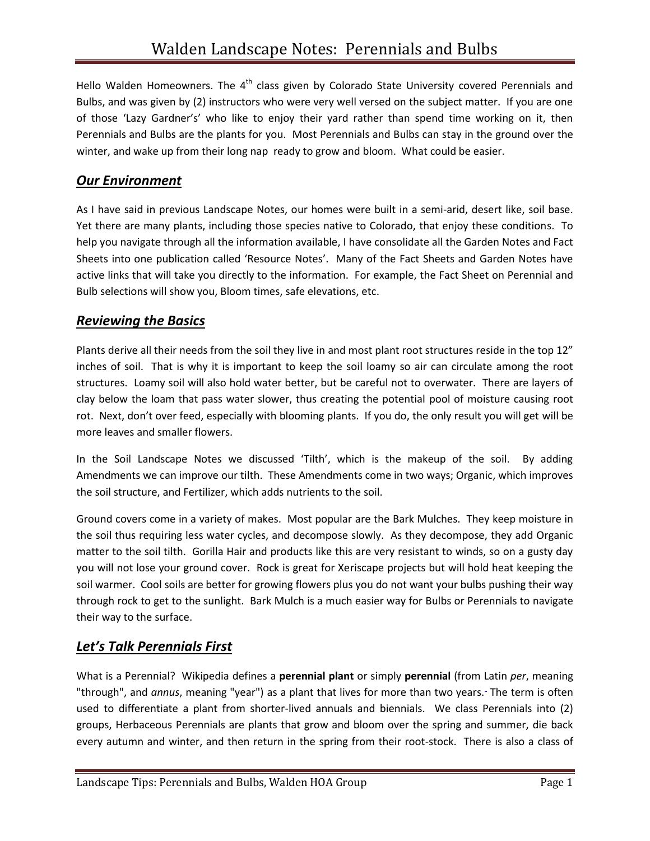Hello Walden Homeowners. The 4<sup>th</sup> class given by Colorado State University covered Perennials and Bulbs, and was given by (2) instructors who were very well versed on the subject matter. If you are one of those 'Lazy Gardner's' who like to enjoy their yard rather than spend time working on it, then Perennials and Bulbs are the plants for you. Most Perennials and Bulbs can stay in the ground over the winter, and wake up from their long nap ready to grow and bloom. What could be easier.

#### *Our Environment*

As I have said in previous Landscape Notes, our homes were built in a semi-arid, desert like, soil base. Yet there are many plants, including those species native to Colorado, that enjoy these conditions. To help you navigate through all the information available, I have consolidate all the Garden Notes and Fact Sheets into one publication called 'Resource Notes'. Many of the Fact Sheets and Garden Notes have active links that will take you directly to the information. For example, the Fact Sheet on Perennial and Bulb selections will show you, Bloom times, safe elevations, etc.

#### *Reviewing the Basics*

Plants derive all their needs from the soil they live in and most plant root structures reside in the top 12" inches of soil. That is why it is important to keep the soil loamy so air can circulate among the root structures. Loamy soil will also hold water better, but be careful not to overwater. There are layers of clay below the loam that pass water slower, thus creating the potential pool of moisture causing root rot. Next, don't over feed, especially with blooming plants. If you do, the only result you will get will be more leaves and smaller flowers.

In the Soil Landscape Notes we discussed 'Tilth', which is the makeup of the soil. By adding Amendments we can improve our tilth. These Amendments come in two ways; Organic, which improves the soil structure, and Fertilizer, which adds nutrients to the soil.

Ground covers come in a variety of makes. Most popular are the Bark Mulches. They keep moisture in the soil thus requiring less water cycles, and decompose slowly. As they decompose, they add Organic matter to the soil tilth. Gorilla Hair and products like this are very resistant to winds, so on a gusty day you will not lose your ground cover. Rock is great for Xeriscape projects but will hold heat keeping the soil warmer. Cool soils are better for growing flowers plus you do not want your bulbs pushing their way through rock to get to the sunlight. Bark Mulch is a much easier way for Bulbs or Perennials to navigate their way to the surface.

## *Let's Talk Perennials First*

What is a Perennial? Wikipedia defines a **perennial plant** or simply **perennial** (from Latin *per*, meaning "through", and *annus*, meaning "year") as a plant that lives for more than two years. The term is often used to differentiate a plant from shorter-lived annuals and biennials. We class Perennials into (2) groups, Herbaceous Perennials are plants that grow and bloom over the spring and summer, die back every autumn and winter, and then return in the spring from their root-stock. There is also a class of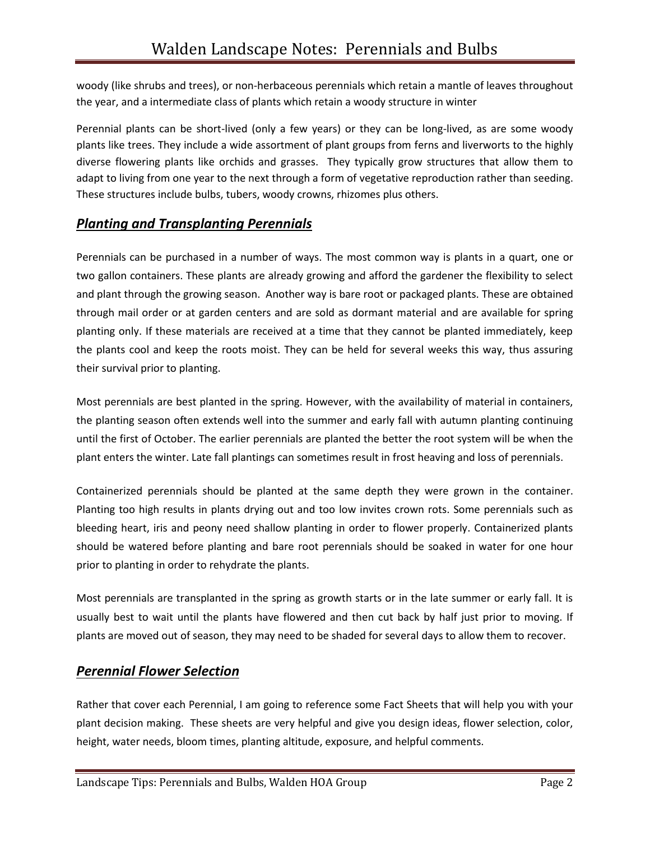woody (like shrubs and trees), or non-herbaceous perennials which retain a mantle of leaves throughout the year, and a intermediate class of plants which retain a woody structure in winter

Perennial plants can be short-lived (only a few years) or they can be long-lived, as are some woody plants like trees. They include a wide assortment of plant groups from ferns and liverworts to the highly diverse flowering plants like orchids and grasses. They typically grow structures that allow them to adapt to living from one year to the next through a form of vegetative reproduction rather than seeding. These structures include bulbs, tubers, woody crowns, rhizomes plus others.

# *Planting and Transplanting Perennials*

Perennials can be purchased in a number of ways. The most common way is plants in a quart, one or two gallon containers. These plants are already growing and afford the gardener the flexibility to select and plant through the growing season. Another way is bare root or packaged plants. These are obtained through mail order or at garden centers and are sold as dormant material and are available for spring planting only. If these materials are received at a time that they cannot be planted immediately, keep the plants cool and keep the roots moist. They can be held for several weeks this way, thus assuring their survival prior to planting.

Most perennials are best planted in the spring. However, with the availability of material in containers, the planting season often extends well into the summer and early fall with autumn planting continuing until the first of October. The earlier perennials are planted the better the root system will be when the plant enters the winter. Late fall plantings can sometimes result in frost heaving and loss of perennials.

Containerized perennials should be planted at the same depth they were grown in the container. Planting too high results in plants drying out and too low invites crown rots. Some perennials such as bleeding heart, iris and peony need shallow planting in order to flower properly. Containerized plants should be watered before planting and bare root perennials should be soaked in water for one hour prior to planting in order to rehydrate the plants.

Most perennials are transplanted in the spring as growth starts or in the late summer or early fall. It is usually best to wait until the plants have flowered and then cut back by half just prior to moving. If plants are moved out of season, they may need to be shaded for several days to allow them to recover.

#### *Perennial Flower Selection*

Rather that cover each Perennial, I am going to reference some Fact Sheets that will help you with your plant decision making. These sheets are very helpful and give you design ideas, flower selection, color, height, water needs, bloom times, planting altitude, exposure, and helpful comments.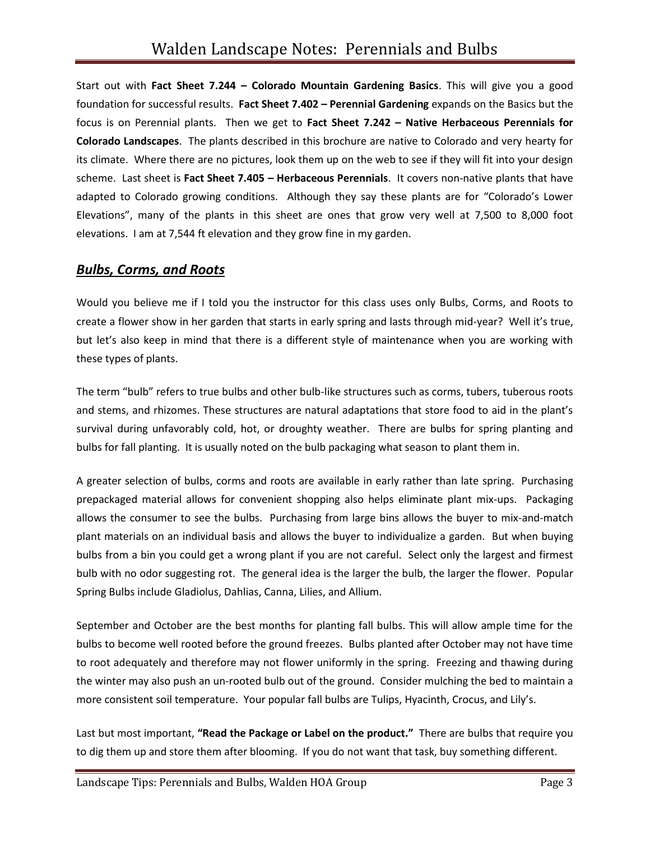Start out with **Fact Sheet 7.244 – Colorado Mountain Gardening Basics**. This will give you a good foundation for successful results. **Fact Sheet 7.402 – Perennial Gardening** expands on the Basics but the focus is on Perennial plants. Then we get to **Fact Sheet 7.242 – Native Herbaceous Perennials for Colorado Landscapes**. The plants described in this brochure are native to Colorado and very hearty for its climate. Where there are no pictures, look them up on the web to see if they will fit into your design scheme. Last sheet is **Fact Sheet 7.405 – Herbaceous Perennials**. It covers non-native plants that have adapted to Colorado growing conditions. Although they say these plants are for "Colorado's Lower Elevations", many of the plants in this sheet are ones that grow very well at 7,500 to 8,000 foot elevations. I am at 7,544 ft elevation and they grow fine in my garden.

#### *Bulbs, Corms, and Roots*

Would you believe me if I told you the instructor for this class uses only Bulbs, Corms, and Roots to create a flower show in her garden that starts in early spring and lasts through mid-year? Well it's true, but let's also keep in mind that there is a different style of maintenance when you are working with these types of plants.

The term "bulb" refers to true bulbs and other bulb-like structures such as corms, tubers, tuberous roots and stems, and rhizomes. These structures are natural adaptations that store food to aid in the plant's survival during unfavorably cold, hot, or droughty weather. There are bulbs for spring planting and bulbs for fall planting. It is usually noted on the bulb packaging what season to plant them in.

A greater selection of bulbs, corms and roots are available in early rather than late spring. Purchasing prepackaged material allows for convenient shopping also helps eliminate plant mix-ups. Packaging allows the consumer to see the bulbs. Purchasing from large bins allows the buyer to mix-and-match plant materials on an individual basis and allows the buyer to individualize a garden. But when buying bulbs from a bin you could get a wrong plant if you are not careful. Select only the largest and firmest bulb with no odor suggesting rot. The general idea is the larger the bulb, the larger the flower. Popular Spring Bulbs include Gladiolus, Dahlias, Canna, Lilies, and Allium.

September and October are the best months for planting fall bulbs. This will allow ample time for the bulbs to become well rooted before the ground freezes. Bulbs planted after October may not have time to root adequately and therefore may not flower uniformly in the spring. Freezing and thawing during the winter may also push an un-rooted bulb out of the ground. Consider mulching the bed to maintain a more consistent soil temperature. Your popular fall bulbs are Tulips, Hyacinth, Crocus, and Lily's.

Last but most important, **"Read the Package or Label on the product."** There are bulbs that require you to dig them up and store them after blooming. If you do not want that task, buy something different.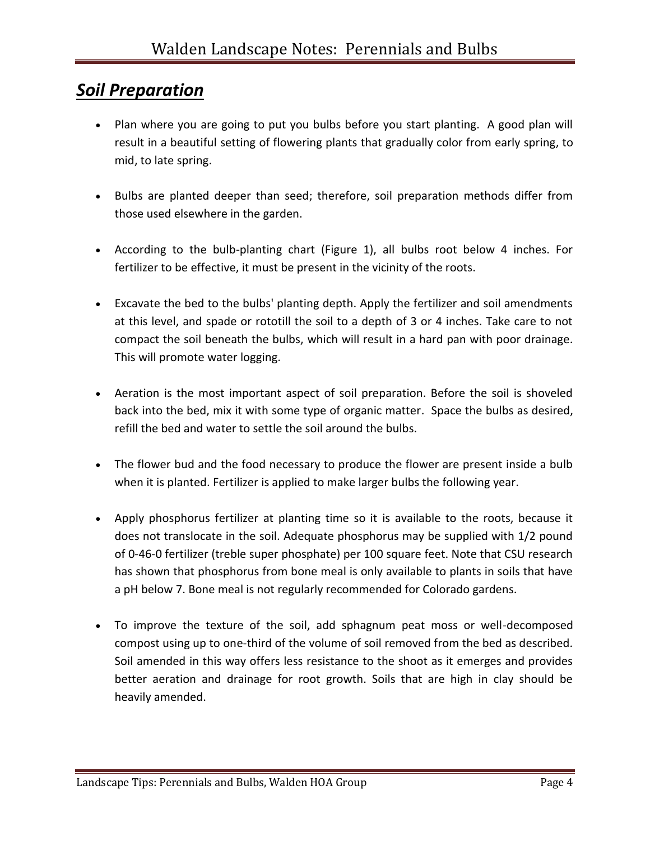# *Soil Preparation*

- Plan where you are going to put you bulbs before you start planting. A good plan will result in a beautiful setting of flowering plants that gradually color from early spring, to mid, to late spring.
- Bulbs are planted deeper than seed; therefore, soil preparation methods differ from those used elsewhere in the garden.
- According to the bulb-planting chart (Figure 1), all bulbs root below 4 inches. For fertilizer to be effective, it must be present in the vicinity of the roots.
- Excavate the bed to the bulbs' planting depth. Apply the fertilizer and soil amendments at this level, and spade or rototill the soil to a depth of 3 or 4 inches. Take care to not compact the soil beneath the bulbs, which will result in a hard pan with poor drainage. This will promote water logging.
- Aeration is the most important aspect of soil preparation. Before the soil is shoveled back into the bed, mix it with some type of organic matter. Space the bulbs as desired, refill the bed and water to settle the soil around the bulbs.
- The flower bud and the food necessary to produce the flower are present inside a bulb when it is planted. Fertilizer is applied to make larger bulbs the following year.
- Apply phosphorus fertilizer at planting time so it is available to the roots, because it does not translocate in the soil. Adequate phosphorus may be supplied with 1/2 pound of 0-46-0 fertilizer (treble super phosphate) per 100 square feet. Note that CSU research has shown that phosphorus from bone meal is only available to plants in soils that have a pH below 7. Bone meal is not regularly recommended for Colorado gardens.
- To improve the texture of the soil, add sphagnum peat moss or well-decomposed compost using up to one-third of the volume of soil removed from the bed as described. Soil amended in this way offers less resistance to the shoot as it emerges and provides better aeration and drainage for root growth. Soils that are high in clay should be heavily amended.